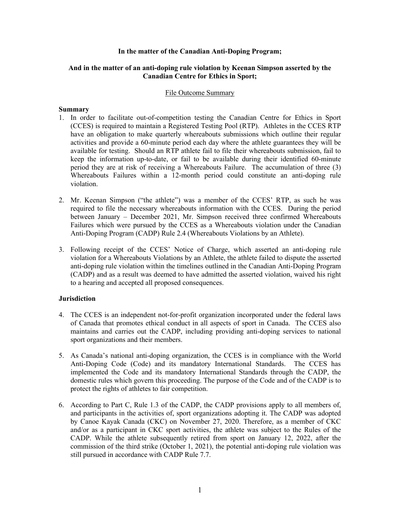### **In the matter of the Canadian Anti-Doping Program;**

### **And in the matter of an anti-doping rule violation by Keenan Simpson asserted by the Canadian Centre for Ethics in Sport;**

#### File Outcome Summary

#### **Summary**

- 1. In order to facilitate out-of-competition testing the Canadian Centre for Ethics in Sport (CCES) is required to maintain a Registered Testing Pool (RTP). Athletes in the CCES RTP have an obligation to make quarterly whereabouts submissions which outline their regular activities and provide a 60-minute period each day where the athlete guarantees they will be available for testing. Should an RTP athlete fail to file their whereabouts submission, fail to keep the information up-to-date, or fail to be available during their identified 60-minute period they are at risk of receiving a Whereabouts Failure. The accumulation of three (3) Whereabouts Failures within a 12-month period could constitute an anti-doping rule violation.
- 2. Mr. Keenan Simpson ("the athlete") was a member of the CCES' RTP, as such he was required to file the necessary whereabouts information with the CCES. During the period between January – December 2021, Mr. Simpson received three confirmed Whereabouts Failures which were pursued by the CCES as a Whereabouts violation under the Canadian Anti-Doping Program (CADP) Rule 2.4 (Whereabouts Violations by an Athlete).
- 3. Following receipt of the CCES' Notice of Charge, which asserted an anti-doping rule violation for a Whereabouts Violations by an Athlete, the athlete failed to dispute the asserted anti-doping rule violation within the timelines outlined in the Canadian Anti-Doping Program (CADP) and as a result was deemed to have admitted the asserted violation, waived his right to a hearing and accepted all proposed consequences.

# **Jurisdiction**

- 4. The CCES is an independent not-for-profit organization incorporated under the federal laws of Canada that promotes ethical conduct in all aspects of sport in Canada. The CCES also maintains and carries out the CADP, including providing anti-doping services to national sport organizations and their members.
- 5. As Canada's national anti-doping organization, the CCES is in compliance with the World Anti-Doping Code (Code) and its mandatory International Standards. The CCES has implemented the Code and its mandatory International Standards through the CADP, the domestic rules which govern this proceeding. The purpose of the Code and of the CADP is to protect the rights of athletes to fair competition.
- 6. According to Part C, Rule 1.3 of the CADP, the CADP provisions apply to all members of, and participants in the activities of, sport organizations adopting it. The CADP was adopted by Canoe Kayak Canada (CKC) on November 27, 2020. Therefore, as a member of CKC and/or as a participant in CKC sport activities, the athlete was subject to the Rules of the CADP. While the athlete subsequently retired from sport on January 12, 2022, after the commission of the third strike (October 1, 2021), the potential anti-doping rule violation was still pursued in accordance with CADP Rule 7.7.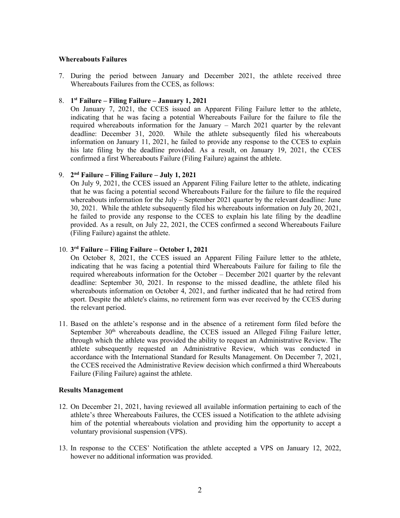### **Whereabouts Failures**

7. During the period between January and December 2021, the athlete received three Whereabouts Failures from the CCES, as follows:

# 8. **1st Failure – Filing Failure – January 1, 2021**

On January 7, 2021, the CCES issued an Apparent Filing Failure letter to the athlete, indicating that he was facing a potential Whereabouts Failure for the failure to file the required whereabouts information for the January – March 2021 quarter by the relevant deadline: December 31, 2020. While the athlete subsequently filed his whereabouts information on January 11, 2021, he failed to provide any response to the CCES to explain his late filing by the deadline provided. As a result, on January 19, 2021, the CCES confirmed a first Whereabouts Failure (Filing Failure) against the athlete.

# 9. **2nd Failure – Filing Failure – July 1, 2021**

On July 9, 2021, the CCES issued an Apparent Filing Failure letter to the athlete, indicating that he was facing a potential second Whereabouts Failure for the failure to file the required whereabouts information for the July – September 2021 quarter by the relevant deadline: June 30, 2021. While the athlete subsequently filed his whereabouts information on July 20, 2021, he failed to provide any response to the CCES to explain his late filing by the deadline provided. As a result, on July 22, 2021, the CCES confirmed a second Whereabouts Failure (Filing Failure) against the athlete.

### 10. **3rd Failure – Filing Failure – October 1, 2021**

On October 8, 2021, the CCES issued an Apparent Filing Failure letter to the athlete, indicating that he was facing a potential third Whereabouts Failure for failing to file the required whereabouts information for the October – December 2021 quarter by the relevant deadline: September 30, 2021. In response to the missed deadline, the athlete filed his whereabouts information on October 4, 2021, and further indicated that he had retired from sport. Despite the athlete's claims, no retirement form was ever received by the CCES during the relevant period.

11. Based on the athlete's response and in the absence of a retirement form filed before the September 30<sup>th</sup> whereabouts deadline, the CCES issued an Alleged Filing Failure letter, through which the athlete was provided the ability to request an Administrative Review. The athlete subsequently requested an Administrative Review, which was conducted in accordance with the International Standard for Results Management. On December 7, 2021, the CCES received the Administrative Review decision which confirmed a third Whereabouts Failure (Filing Failure) against the athlete.

#### **Results Management**

- 12. On December 21, 2021, having reviewed all available information pertaining to each of the athlete's three Whereabouts Failures, the CCES issued a Notification to the athlete advising him of the potential whereabouts violation and providing him the opportunity to accept a voluntary provisional suspension (VPS).
- 13. In response to the CCES' Notification the athlete accepted a VPS on January 12, 2022, however no additional information was provided.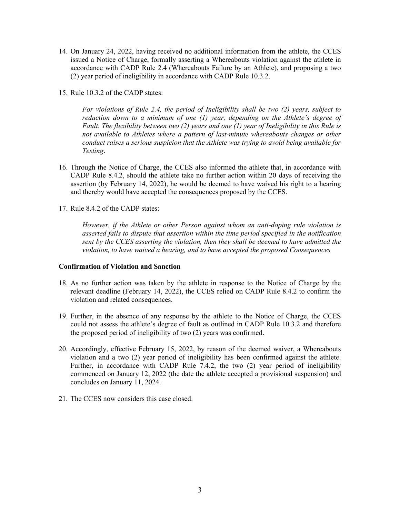- 14. On January 24, 2022, having received no additional information from the athlete, the CCES issued a Notice of Charge, formally asserting a Whereabouts violation against the athlete in accordance with CADP Rule 2.4 (Whereabouts Failure by an Athlete), and proposing a two (2) year period of ineligibility in accordance with CADP Rule 10.3.2.
- 15. Rule 10.3.2 of the CADP states:

*For violations of Rule 2.4, the period of Ineligibility shall be two (2) years, subject to reduction down to a minimum of one (1) year, depending on the Athlete's degree of Fault. The flexibility between two (2) years and one (1) year of Ineligibility in this Rule is not available to Athletes where a pattern of last-minute whereabouts changes or other conduct raises a serious suspicion that the Athlete was trying to avoid being available for Testing*.

- 16. Through the Notice of Charge, the CCES also informed the athlete that, in accordance with CADP Rule 8.4.2, should the athlete take no further action within 20 days of receiving the assertion (by February 14, 2022), he would be deemed to have waived his right to a hearing and thereby would have accepted the consequences proposed by the CCES.
- 17. Rule 8.4.2 of the CADP states:

*However, if the Athlete or other Person against whom an anti-doping rule violation is asserted fails to dispute that assertion within the time period specified in the notification sent by the CCES asserting the violation, then they shall be deemed to have admitted the violation, to have waived a hearing, and to have accepted the proposed Consequences*

# **Confirmation of Violation and Sanction**

- 18. As no further action was taken by the athlete in response to the Notice of Charge by the relevant deadline (February 14, 2022), the CCES relied on CADP Rule 8.4.2 to confirm the violation and related consequences.
- 19. Further, in the absence of any response by the athlete to the Notice of Charge, the CCES could not assess the athlete's degree of fault as outlined in CADP Rule 10.3.2 and therefore the proposed period of ineligibility of two (2) years was confirmed.
- 20. Accordingly, effective February 15, 2022, by reason of the deemed waiver, a Whereabouts violation and a two (2) year period of ineligibility has been confirmed against the athlete. Further, in accordance with CADP Rule 7.4.2, the two (2) year period of ineligibility commenced on January 12, 2022 (the date the athlete accepted a provisional suspension) and concludes on January 11, 2024.
- 21. The CCES now considers this case closed.